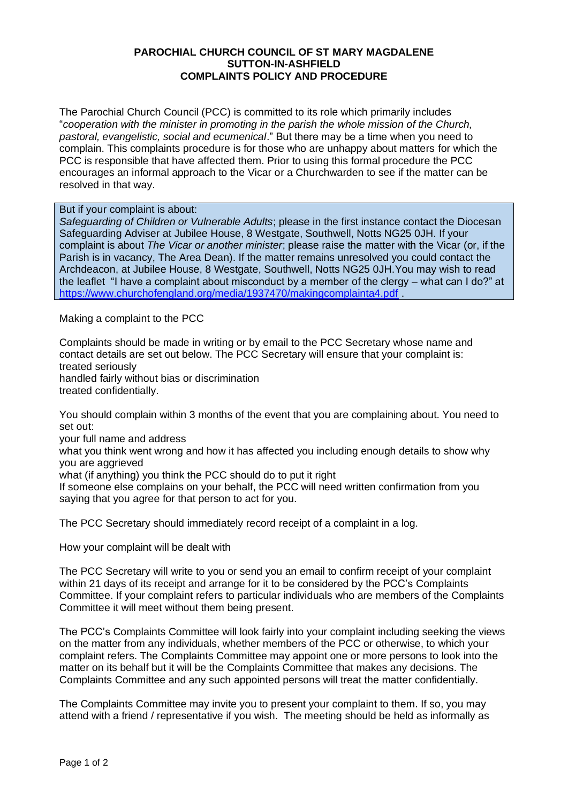## **PAROCHIAL CHURCH COUNCIL OF ST MARY MAGDALENE SUTTON-IN-ASHFIELD COMPLAINTS POLICY AND PROCEDURE**

The Parochial Church Council (PCC) is committed to its role which primarily includes "*cooperation with the minister in promoting in the parish the whole mission of the Church, pastoral, evangelistic, social and ecumenical*." But there may be a time when you need to complain. This complaints procedure is for those who are unhappy about matters for which the PCC is responsible that have affected them. Prior to using this formal procedure the PCC encourages an informal approach to the Vicar or a Churchwarden to see if the matter can be resolved in that way.

## But if your complaint is about:

*Safeguarding of Children or Vulnerable Adults*; please in the first instance contact the Diocesan Safeguarding Adviser at Jubilee House, 8 Westgate, Southwell, Notts NG25 0JH. If your complaint is about *The Vicar or another minister*; please raise the matter with the Vicar (or, if the Parish is in vacancy, The Area Dean). If the matter remains unresolved you could contact the Archdeacon, at Jubilee House, 8 Westgate, Southwell, Notts NG25 0JH.You may wish to read the leaflet "I have a complaint about misconduct by a member of the clergy – what can I do?" at <https://www.churchofengland.org/media/1937470/makingcomplainta4.pdf> .

Making a complaint to the PCC

Complaints should be made in writing or by email to the PCC Secretary whose name and contact details are set out below. The PCC Secretary will ensure that your complaint is: treated seriously handled fairly without bias or discrimination treated confidentially.

You should complain within 3 months of the event that you are complaining about. You need to set out:

your full name and address

what you think went wrong and how it has affected you including enough details to show why you are aggrieved

what (if anything) you think the PCC should do to put it right

If someone else complains on your behalf, the PCC will need written confirmation from you saying that you agree for that person to act for you.

The PCC Secretary should immediately record receipt of a complaint in a log.

How your complaint will be dealt with

The PCC Secretary will write to you or send you an email to confirm receipt of your complaint within 21 days of its receipt and arrange for it to be considered by the PCC's Complaints Committee. If your complaint refers to particular individuals who are members of the Complaints Committee it will meet without them being present.

The PCC's Complaints Committee will look fairly into your complaint including seeking the views on the matter from any individuals, whether members of the PCC or otherwise, to which your complaint refers. The Complaints Committee may appoint one or more persons to look into the matter on its behalf but it will be the Complaints Committee that makes any decisions. The Complaints Committee and any such appointed persons will treat the matter confidentially.

The Complaints Committee may invite you to present your complaint to them. If so, you may attend with a friend / representative if you wish. The meeting should be held as informally as